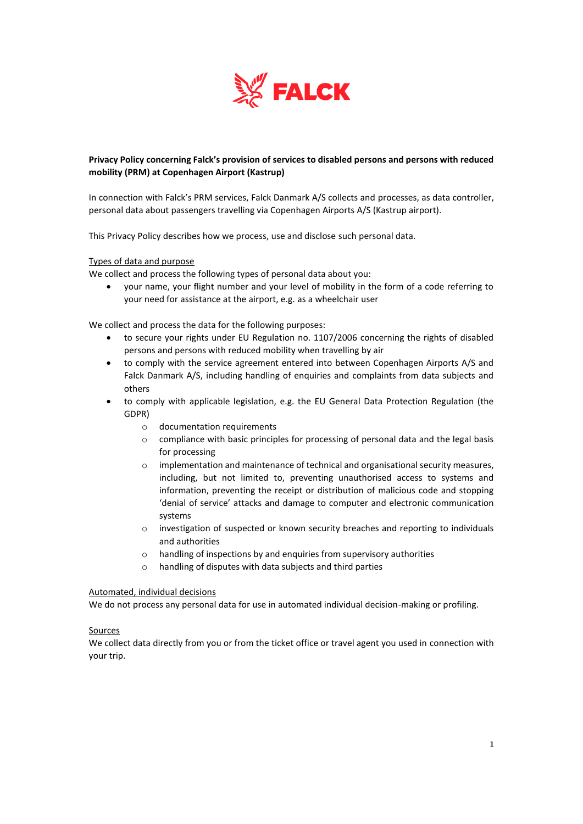

# **Privacy Policy concerning Falck's provision of services to disabled persons and persons with reduced mobility (PRM) at Copenhagen Airport (Kastrup)**

In connection with Falck's PRM services, Falck Danmark A/S collects and processes, as data controller, personal data about passengers travelling via Copenhagen Airports A/S (Kastrup airport).

This Privacy Policy describes how we process, use and disclose such personal data.

#### Types of data and purpose

We collect and process the following types of personal data about you:

• your name, your flight number and your level of mobility in the form of a code referring to your need for assistance at the airport, e.g. as a wheelchair user

We collect and process the data for the following purposes:

- to secure your rights under EU Regulation no. 1107/2006 concerning the rights of disabled persons and persons with reduced mobility when travelling by air
- to comply with the service agreement entered into between Copenhagen Airports A/S and Falck Danmark A/S, including handling of enquiries and complaints from data subjects and others
- to comply with applicable legislation, e.g. the EU General Data Protection Regulation (the GDPR)
	- o documentation requirements
	- $\circ$  compliance with basic principles for processing of personal data and the legal basis for processing
	- o implementation and maintenance of technical and organisational security measures, including, but not limited to, preventing unauthorised access to systems and information, preventing the receipt or distribution of malicious code and stopping 'denial of service' attacks and damage to computer and electronic communication systems
	- o investigation of suspected or known security breaches and reporting to individuals and authorities
	- o handling of inspections by and enquiries from supervisory authorities
	- o handling of disputes with data subjects and third parties

#### Automated, individual decisions

We do not process any personal data for use in automated individual decision-making or profiling.

#### Sources

We collect data directly from you or from the ticket office or travel agent you used in connection with your trip.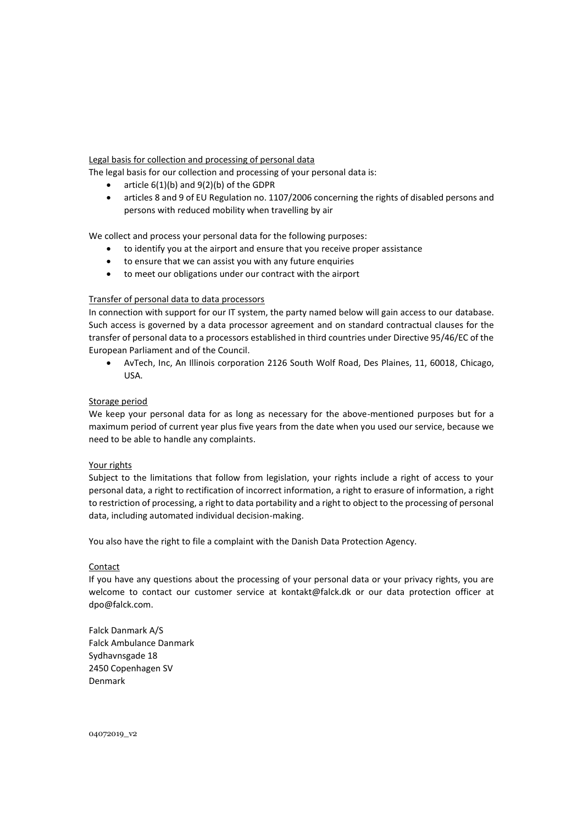## Legal basis for collection and processing of personal data

The legal basis for our collection and processing of your personal data is:

- article  $6(1)(b)$  and  $9(2)(b)$  of the GDPR
- articles 8 and 9 of EU Regulation no. 1107/2006 concerning the rights of disabled persons and persons with reduced mobility when travelling by air

We collect and process your personal data for the following purposes:

- to identify you at the airport and ensure that you receive proper assistance
- to ensure that we can assist you with any future enquiries
- to meet our obligations under our contract with the airport

### Transfer of personal data to data processors

In connection with support for our IT system, the party named below will gain access to our database. Such access is governed by a data processor agreement and on standard contractual clauses for the transfer of personal data to a processors established in third countries under Directive 95/46/EC of the European Parliament and of the Council.

• AvTech, Inc, An Illinois corporation 2126 South Wolf Road, Des Plaines, 11, 60018, Chicago, USA.

# Storage period

We keep your personal data for as long as necessary for the above-mentioned purposes but for a maximum period of current year plus five years from the date when you used our service, because we need to be able to handle any complaints.

### Your rights

Subject to the limitations that follow from legislation, your rights include a right of access to your personal data, a right to rectification of incorrect information, a right to erasure of information, a right to restriction of processing, a right to data portability and a right to object to the processing of personal data, including automated individual decision-making.

You also have the right to file a complaint with the Danish Data Protection Agency.

### **Contact**

If you have any questions about the processing of your personal data or your privacy rights, you are welcome to contact our customer service at kontakt@falck.dk or our data protection officer at dpo@falck.com.

Falck Danmark A/S Falck Ambulance Danmark Sydhavnsgade 18 2450 Copenhagen SV Denmark

04072019\_v2